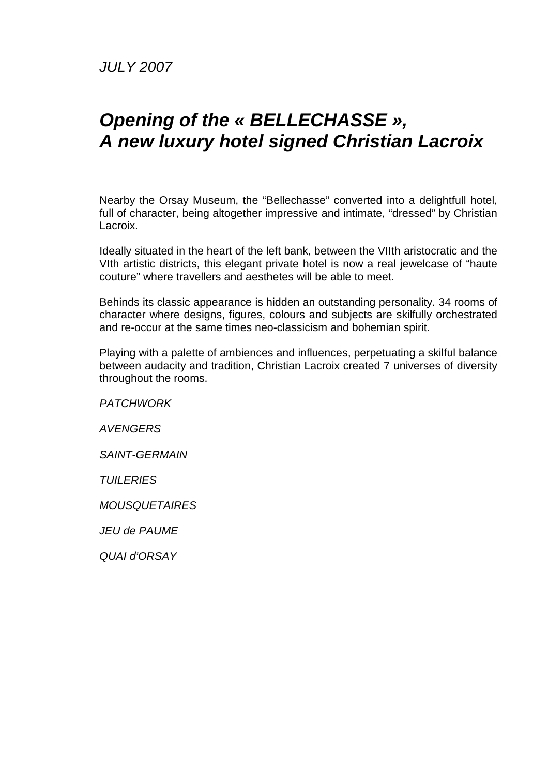JULY 2007

## **Opening of the « BELLECHASSE », A new luxury hotel signed Christian Lacroix**

Nearby the Orsay Museum, the "Bellechasse" converted into a delightfull hotel, full of character, being altogether impressive and intimate, "dressed" by Christian Lacroix.

Ideally situated in the heart of the left bank, between the VIIth aristocratic and the VIth artistic districts, this elegant private hotel is now a real jewelcase of "haute couture" where travellers and aesthetes will be able to meet.

Behinds its classic appearance is hidden an outstanding personality. 34 rooms of character where designs, figures, colours and subjects are skilfully orchestrated and re-occur at the same times neo-classicism and bohemian spirit.

Playing with a palette of ambiences and influences, perpetuating a skilful balance between audacity and tradition, Christian Lacroix created 7 universes of diversity throughout the rooms.

**PATCHWORK AVENGERS** SAINT-GERMAIN **TUILERIES** MOUSQUETAIRES JEU de PAUME QUAI d'ORSAY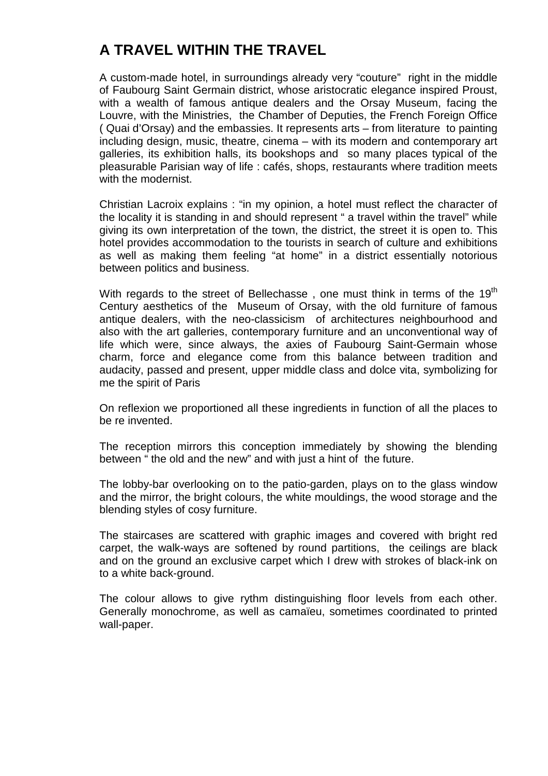## **A TRAVEL WITHIN THE TRAVEL**

A custom-made hotel, in surroundings already very "couture" right in the middle of Faubourg Saint Germain district, whose aristocratic elegance inspired Proust, with a wealth of famous antique dealers and the Orsay Museum, facing the Louvre, with the Ministries, the Chamber of Deputies, the French Foreign Office ( Quai d'Orsay) and the embassies. It represents arts – from literature to painting including design, music, theatre, cinema – with its modern and contemporary art galleries, its exhibition halls, its bookshops and so many places typical of the pleasurable Parisian way of life : cafés, shops, restaurants where tradition meets with the modernist.

Christian Lacroix explains : "in my opinion, a hotel must reflect the character of the locality it is standing in and should represent " a travel within the travel" while giving its own interpretation of the town, the district, the street it is open to. This hotel provides accommodation to the tourists in search of culture and exhibitions as well as making them feeling "at home" in a district essentially notorious between politics and business.

With regards to the street of Bellechasse, one must think in terms of the  $19<sup>th</sup>$ Century aesthetics of the Museum of Orsay, with the old furniture of famous antique dealers, with the neo-classicism of architectures neighbourhood and also with the art galleries, contemporary furniture and an unconventional way of life which were, since always, the axies of Faubourg Saint-Germain whose charm, force and elegance come from this balance between tradition and audacity, passed and present, upper middle class and dolce vita, symbolizing for me the spirit of Paris

On reflexion we proportioned all these ingredients in function of all the places to be re invented.

The reception mirrors this conception immediately by showing the blending between " the old and the new" and with just a hint of the future.

The lobby-bar overlooking on to the patio-garden, plays on to the glass window and the mirror, the bright colours, the white mouldings, the wood storage and the blending styles of cosy furniture.

The staircases are scattered with graphic images and covered with bright red carpet, the walk-ways are softened by round partitions, the ceilings are black and on the ground an exclusive carpet which I drew with strokes of black-ink on to a white back-ground.

The colour allows to give rythm distinguishing floor levels from each other. Generally monochrome, as well as camaïeu, sometimes coordinated to printed wall-paper.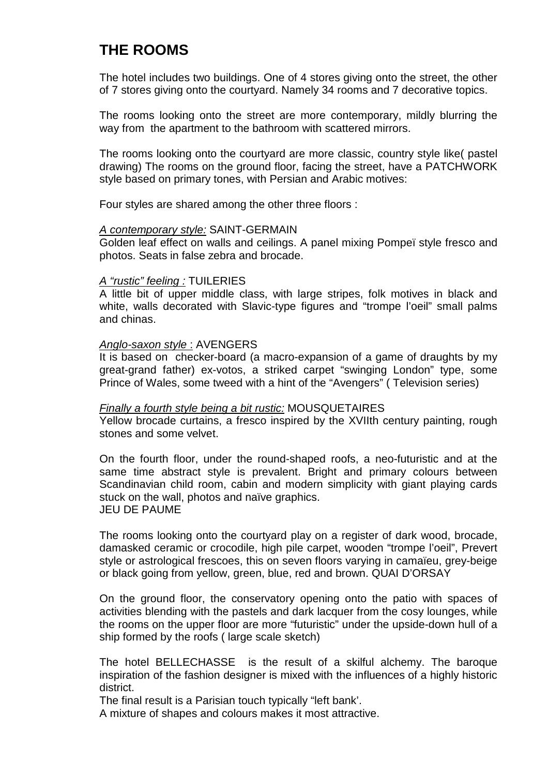### **THE ROOMS**

The hotel includes two buildings. One of 4 stores giving onto the street, the other of 7 stores giving onto the courtyard. Namely 34 rooms and 7 decorative topics.

The rooms looking onto the street are more contemporary, mildly blurring the way from the apartment to the bathroom with scattered mirrors.

The rooms looking onto the courtyard are more classic, country style like( pastel drawing) The rooms on the ground floor, facing the street, have a PATCHWORK style based on primary tones, with Persian and Arabic motives:

Four styles are shared among the other three floors :

#### A contemporary style: SAINT-GERMAIN

Golden leaf effect on walls and ceilings. A panel mixing Pompeï style fresco and photos. Seats in false zebra and brocade.

#### A "rustic" feeling : TUILERIES

A little bit of upper middle class, with large stripes, folk motives in black and white, walls decorated with Slavic-type figures and "trompe l'oeil" small palms and chinas.

#### Anglo-saxon style : AVENGERS

It is based on checker-board (a macro-expansion of a game of draughts by my great-grand father) ex-votos, a striked carpet "swinging London" type, some Prince of Wales, some tweed with a hint of the "Avengers" ( Television series)

#### Finally a fourth style being a bit rustic: MOUSQUETAIRES

Yellow brocade curtains, a fresco inspired by the XVIIth century painting, rough stones and some velvet.

On the fourth floor, under the round-shaped roofs, a neo-futuristic and at the same time abstract style is prevalent. Bright and primary colours between Scandinavian child room, cabin and modern simplicity with giant playing cards stuck on the wall, photos and naïve graphics. JEU DE PAUME

The rooms looking onto the courtyard play on a register of dark wood, brocade, damasked ceramic or crocodile, high pile carpet, wooden "trompe l'oeil", Prevert style or astrological frescoes, this on seven floors varying in camaïeu, grey-beige or black going from yellow, green, blue, red and brown. QUAI D'ORSAY

On the ground floor, the conservatory opening onto the patio with spaces of activities blending with the pastels and dark lacquer from the cosy lounges, while the rooms on the upper floor are more "futuristic" under the upside-down hull of a ship formed by the roofs ( large scale sketch)

The hotel BELLECHASSE is the result of a skilful alchemy. The baroque inspiration of the fashion designer is mixed with the influences of a highly historic district.

The final result is a Parisian touch typically "left bank'.

A mixture of shapes and colours makes it most attractive.